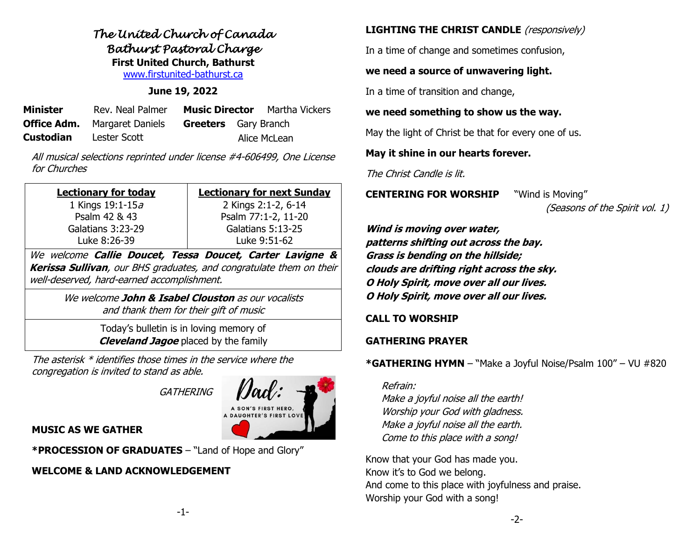# *The United Church of Canada Bathurst Pastoral Charge*  **First United Church, Bathurst** [www.firstunited-bathurst.ca](http://www.firstunited-bathurst.ca/)

### **June 19, 2022**

| <b>Minister</b>  | Rev. Neal Palmer                    |                             | <b>Music Director</b> Martha Vickers |
|------------------|-------------------------------------|-----------------------------|--------------------------------------|
|                  | <b>Office Adm.</b> Margaret Daniels | <b>Greeters</b> Gary Branch |                                      |
| <b>Custodian</b> | Lester Scott                        |                             | Alice McLean                         |

All musical selections reprinted under license #4-606499, One License for Churches

| <b>Lectionary for today</b> | <b>Lectionary for next Sunday</b> |  |  |  |
|-----------------------------|-----------------------------------|--|--|--|
| 1 Kings $19:1-15a$          | 2 Kings 2:1-2, 6-14               |  |  |  |
| Psalm 42 & 43               | Psalm 77:1-2, 11-20               |  |  |  |
| Galatians 3:23-29           | Galatians 5:13-25                 |  |  |  |
| Luke 8:26-39                | Luke 9:51-62                      |  |  |  |
|                             |                                   |  |  |  |

We welcome **Callie Doucet, Tessa Doucet, Carter Lavigne & Kerissa Sullivan**, our BHS graduates, and congratulate them on their well-deserved, hard-earned accomplishment.

> We welcome **John & Isabel Clouston** as our vocalists and thank them for their gift of music

> > Today's bulletin is in loving memory of **Cleveland Jagoe** placed by the family

The asterisk \* identifies those times in the service where the congregation is invited to stand as able.

**GATHERING** 



## **MUSIC AS WE GATHER**

**\*PROCESSION OF GRADUATES** – "Land of Hope and Glory"

# **WELCOME & LAND ACKNOWLEDGEMENT**

# **LIGHTING THE CHRIST CANDLE** (responsively)

In a time of change and sometimes confusion,

## **we need a source of unwavering light.**

In a time of transition and change,

## **we need something to show us the way.**

May the light of Christ be that for every one of us.

## **May it shine in our hearts forever.**

The Christ Candle is lit.

**CENTERING FOR WORSHIP** "Wind is Moving"

(Seasons of the Spirit vol. 1)

**Wind is moving over water, patterns shifting out across the bay. Grass is bending on the hillside; clouds are drifting right across the sky. O Holy Spirit, move over all our lives. O Holy Spirit, move over all our lives.**

# **CALL TO WORSHIP**

# **GATHERING PRAYER**

**\*GATHERING HYMN** – "Make a Joyful Noise/Psalm 100" – VU #820

## Refrain:

Make a joyful noise all the earth! Worship your God with gladness. Make a joyful noise all the earth. Come to this place with a song!

Know that your God has made you. Know it's to God we belong. And come to this place with joyfulness and praise. Worship your God with a song!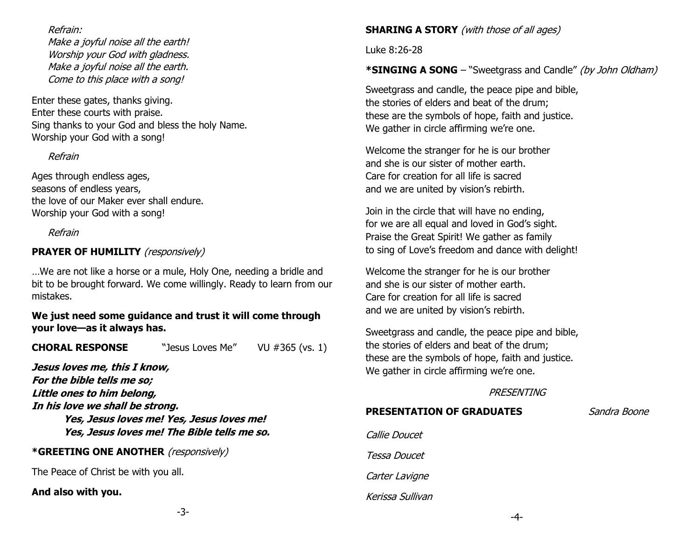### Refrain:

Make a joyful noise all the earth! Worship your God with gladness. Make a joyful noise all the earth. Come to this place with a song!

Enter these gates, thanks giving. Enter these courts with praise. Sing thanks to your God and bless the holy Name. Worship your God with a song!

## Refrain

Ages through endless ages, seasons of endless years, the love of our Maker ever shall endure. Worship your God with a song!

### Refrain

# **PRAYER OF HUMILITY** (responsively)

…We are not like a horse or a mule, Holy One, needing a bridle and bit to be brought forward. We come willingly. Ready to learn from our mistakes.

**We just need some guidance and trust it will come through your love—as it always has.**

**CHORAL RESPONSE** "Jesus Loves Me" VU #365 (vs. 1)

**Jesus loves me, this I know, For the bible tells me so; Little ones to him belong, In his love we shall be strong. Yes, Jesus loves me! Yes, Jesus loves me! Yes, Jesus loves me! The Bible tells me so.**

## **\*GREETING ONE ANOTHER** (responsively)

The Peace of Christ be with you all.

#### **And also with you.**

## **SHARING A STORY** (with those of all ages)

Luke 8:26-28

## **\*SINGING A SONG** – "Sweetgrass and Candle" (by John Oldham)

Sweetgrass and candle, the peace pipe and bible, the stories of elders and beat of the drum; these are the symbols of hope, faith and justice. We gather in circle affirming we're one.

Welcome the stranger for he is our brother and she is our sister of mother earth. Care for creation for all life is sacred and we are united by vision's rebirth.

Join in the circle that will have no ending, for we are all equal and loved in God's sight. Praise the Great Spirit! We gather as family to sing of Love's freedom and dance with delight!

Welcome the stranger for he is our brother and she is our sister of mother earth. Care for creation for all life is sacred and we are united by vision's rebirth.

Sweetgrass and candle, the peace pipe and bible, the stories of elders and beat of the drum; these are the symbols of hope, faith and justice. We gather in circle affirming we're one.

## **PRESENTING**

# **PRESENTATION OF GRADUATES** Sandra Boone

| Callie Doucet    |
|------------------|
| Tessa Doucet     |
| Carter Lavigne   |
| Kerissa Sullivan |

-3-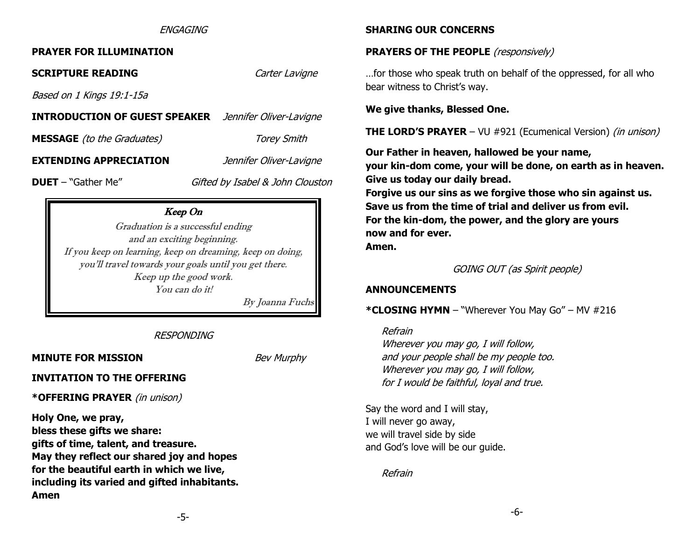#### *ENGAGING*

#### **PRAYER FOR ILLUMINATION**

**SCRIPTURE READING** *Carter Laviane* Based on 1 Kings 19:1-15a **INTRODUCTION OF GUEST SPEAKER** Jennifer Oliver-Lavigne **MESSAGE** (to the Graduates) Torey Smith **EXTENDING APPRECIATION** *Jennifer Oliver-Lavigne* **DUET** – "Gather Me" Gifted by Isabel & John Clouston

## Keep On

Graduation is a successful ending and an exciting beginning. If you keep on learning, keep on dreaming, keep on doing, you'll travel towards your goals until you get there. Keep up the good work. You can do it!

By Joanna Fuchs

#### RESPONDING

### **MINUTE FOR MISSION** *Bev Murphy*

#### **INVITATION TO THE OFFERING**

**\*OFFERING PRAYER** (in unison)

**Holy One, we pray, bless these gifts we share: gifts of time, talent, and treasure. May they reflect our shared joy and hopes for the beautiful earth in which we live, including its varied and gifted inhabitants. Amen**

#### **SHARING OUR CONCERNS**

#### **PRAYERS OF THE PEOPLE** (responsively)

…for those who speak truth on behalf of the oppressed, for all who bear witness to Christ's way.

#### **We give thanks, Blessed One.**

**THE LORD'S PRAYER** – VU #921 (Ecumenical Version) *(in unison)* 

**Our Father in heaven, hallowed be your name, your kin-dom come, your will be done, on earth as in heaven. Give us today our daily bread. Forgive us our sins as we forgive those who sin against us. Save us from the time of trial and deliver us from evil. For the kin-dom, the power, and the glory are yours now and for ever. Amen.**

GOING OUT (as Spirit people)

#### **ANNOUNCEMENTS**

**\*CLOSING HYMN** – "Wherever You May Go" – MV #216

Refrain

Wherever you may go, I will follow, and your people shall be my people too. Wherever you may go, I will follow, for I would be faithful, loyal and true.

Say the word and I will stay, I will never go away, we will travel side by side and God's love will be our guide.

Refrain

-5-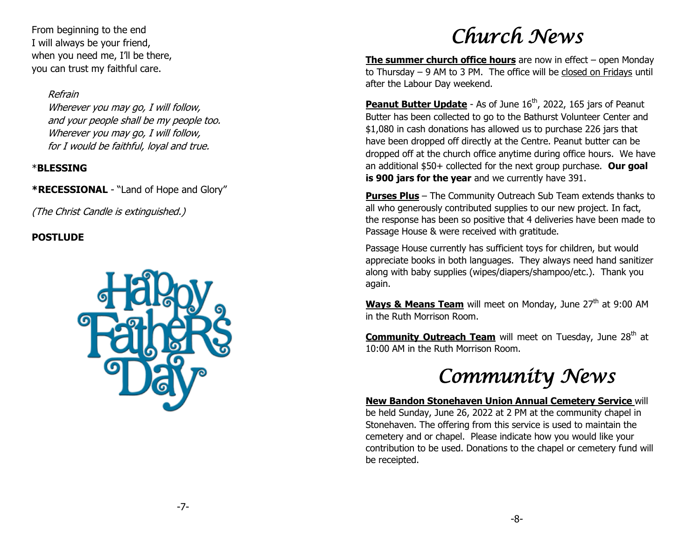From beginning to the end I will always be your friend, when you need me, I'll be there, you can trust my faithful care.

# Refrain

Wherever you may go, I will follow, and your people shall be my people too. Wherever you may go, I will follow, for I would be faithful, loyal and true.

# \***BLESSING**

**\*RECESSIONAL** - "Land of Hope and Glory"

(The Christ Candle is extinguished.)

# **POSTLUDE**



# *Church News*

**The summer church office hours** are now in effect – open Monday to Thursday – 9 AM to 3 PM. The office will be closed on Fridays until after the Labour Day weekend.

**Peanut Butter Update** - As of June 16<sup>th</sup>, 2022, 165 jars of Peanut Butter has been collected to go to the Bathurst Volunteer Center and \$1,080 in cash donations has allowed us to purchase 226 jars that have been dropped off directly at the Centre. Peanut butter can be dropped off at the church office anytime during office hours. We have an additional \$50+ collected for the next group purchase. **Our goal is 900 jars for the year** and we currently have 391.

**Purses Plus** – The Community Outreach Sub Team extends thanks to all who generously contributed supplies to our new project. In fact, the response has been so positive that 4 deliveries have been made to Passage House & were received with gratitude.

Passage House currently has sufficient toys for children, but would appreciate books in both languages. They always need hand sanitizer along with baby supplies (wipes/diapers/shampoo/etc.). Thank you again.

**Ways & Means Team** will meet on Monday, June 27<sup>th</sup> at 9:00 AM in the Ruth Morrison Room.

**Community Outreach Team** will meet on Tuesday, June 28<sup>th</sup> at 10:00 AM in the Ruth Morrison Room.

# *Community News*

**New Bandon Stonehaven Union Annual Cemetery Service** will be held Sunday, June 26, 2022 at 2 PM at the community chapel in Stonehaven. The offering from this service is used to maintain the cemetery and or chapel. Please indicate how you would like your contribution to be used. Donations to the chapel or cemetery fund will be receipted.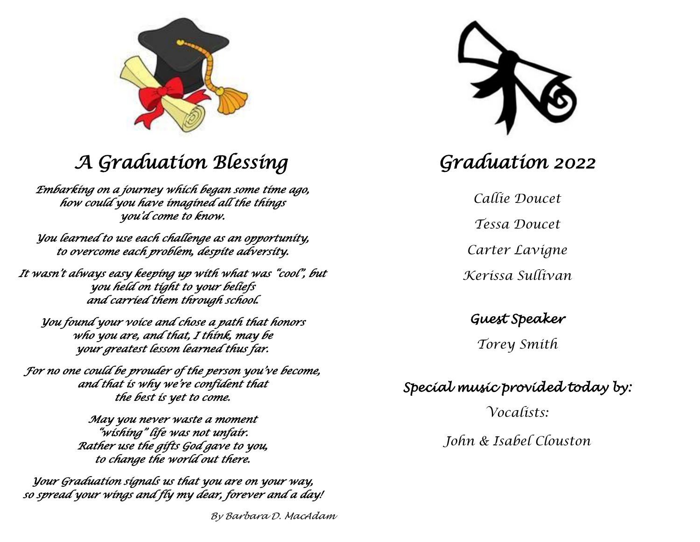

# *A Graduation Blessing*

*Embarking on a journey which began some time ago, how could you have imagined all the things you'd come to know.* 

*You learned to use each challenge as an opportunity, to overcome each problem, despite adversity.* 

*It wasn't always easy keeping up with what was "cool", but you held on tight to your beliefs and carried them through school.* 

*You found your voice and chose a path that honors who you are, and that, I think, may be your greatest lesson learned thus far.* 

*For no one could be prouder of the person you've become, and that is why we're confident that the best is yet to come.* 

> *May you never waste a moment "wishing" life was not unfair. Rather use the gifts God gave to you, to change the world out there.*

*Your Graduation signals us that you are on your way, so spread your wings and fly my dear, forever and a day!* 

*By Barbara D. MacAdam*



# *Graduation 2022*

*Callie Doucet Tessa Doucet Carter Lavigne Kerissa Sullivan*

*Guest Speaker* 

*Torey Smith*

*Special music provided today by:* 

*Vocalists: John & Isabel Clouston*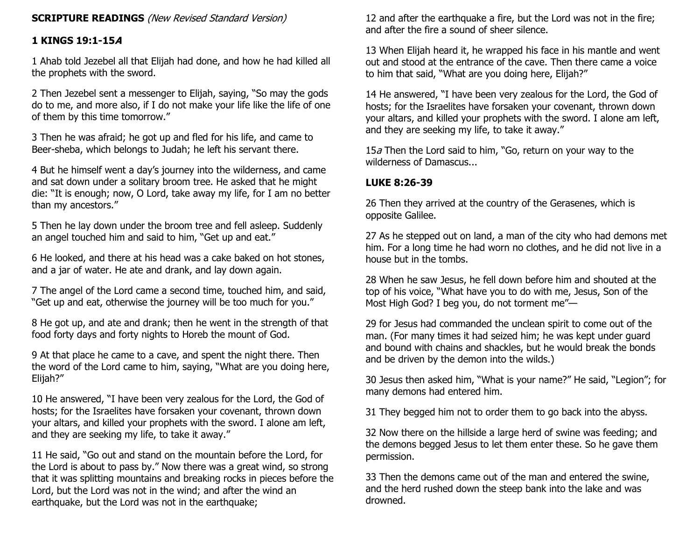## **SCRIPTURE READINGS** (New Revised Standard Version)

# **1 KINGS 19:1-15A**

1 Ahab told Jezebel all that Elijah had done, and how he had killed all the prophets with the sword.

2 Then Jezebel sent a messenger to Elijah, saying, "So may the gods do to me, and more also, if I do not make your life like the life of one of them by this time tomorrow."

3 Then he was afraid; he got up and fled for his life, and came to Beer-sheba, which belongs to Judah; he left his servant there.

4 But he himself went a day's journey into the wilderness, and came and sat down under a solitary broom tree. He asked that he might die: "It is enough; now, O Lord, take away my life, for I am no better than my ancestors."

5 Then he lay down under the broom tree and fell asleep. Suddenly an angel touched him and said to him, "Get up and eat."

6 He looked, and there at his head was a cake baked on hot stones, and a jar of water. He ate and drank, and lay down again.

7 The angel of the Lord came a second time, touched him, and said, "Get up and eat, otherwise the journey will be too much for you."

8 He got up, and ate and drank; then he went in the strength of that food forty days and forty nights to Horeb the mount of God.

9 At that place he came to a cave, and spent the night there. Then the word of the Lord came to him, saying, "What are you doing here, Elijah?"

10 He answered, "I have been very zealous for the Lord, the God of hosts; for the Israelites have forsaken your covenant, thrown down your altars, and killed your prophets with the sword. I alone am left, and they are seeking my life, to take it away."

11 He said, "Go out and stand on the mountain before the Lord, for the Lord is about to pass by." Now there was a great wind, so strong that it was splitting mountains and breaking rocks in pieces before the Lord, but the Lord was not in the wind; and after the wind an earthquake, but the Lord was not in the earthquake;

12 and after the earthquake a fire, but the Lord was not in the fire; and after the fire a sound of sheer silence.

13 When Elijah heard it, he wrapped his face in his mantle and went out and stood at the entrance of the cave. Then there came a voice to him that said, "What are you doing here, Elijah?"

14 He answered, "I have been very zealous for the Lord, the God of hosts; for the Israelites have forsaken your covenant, thrown down your altars, and killed your prophets with the sword. I alone am left, and they are seeking my life, to take it away."

15 $a$  Then the Lord said to him, "Go, return on your way to the wilderness of Damascus...

# **LUKE 8:26-39**

26 Then they arrived at the country of the Gerasenes, which is opposite Galilee.

27 As he stepped out on land, a man of the city who had demons met him. For a long time he had worn no clothes, and he did not live in a house but in the tombs.

28 When he saw Jesus, he fell down before him and shouted at the top of his voice, "What have you to do with me, Jesus, Son of the Most High God? I beg you, do not torment me"—

29 for Jesus had commanded the unclean spirit to come out of the man. (For many times it had seized him; he was kept under guard and bound with chains and shackles, but he would break the bonds and be driven by the demon into the wilds.)

30 Jesus then asked him, "What is your name?" He said, "Legion"; for many demons had entered him.

31 They begged him not to order them to go back into the abyss.

32 Now there on the hillside a large herd of swine was feeding; and the demons begged Jesus to let them enter these. So he gave them permission.

33 Then the demons came out of the man and entered the swine, and the herd rushed down the steep bank into the lake and was drowned.